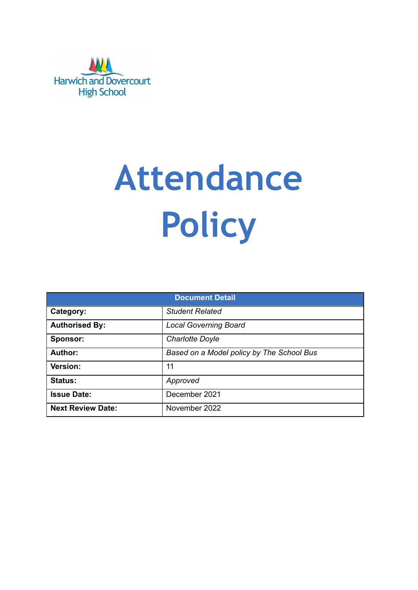

# **Attendance Policy**

| <b>Document Detail</b>   |                                           |  |  |  |
|--------------------------|-------------------------------------------|--|--|--|
| Category:                | <b>Student Related</b>                    |  |  |  |
| <b>Authorised By:</b>    | <b>Local Governing Board</b>              |  |  |  |
| Sponsor:                 | <b>Charlotte Doyle</b>                    |  |  |  |
| Author:                  | Based on a Model policy by The School Bus |  |  |  |
| <b>Version:</b>          | 11                                        |  |  |  |
| <b>Status:</b>           | Approved                                  |  |  |  |
| <b>Issue Date:</b>       | December 2021                             |  |  |  |
| <b>Next Review Date:</b> | November 2022                             |  |  |  |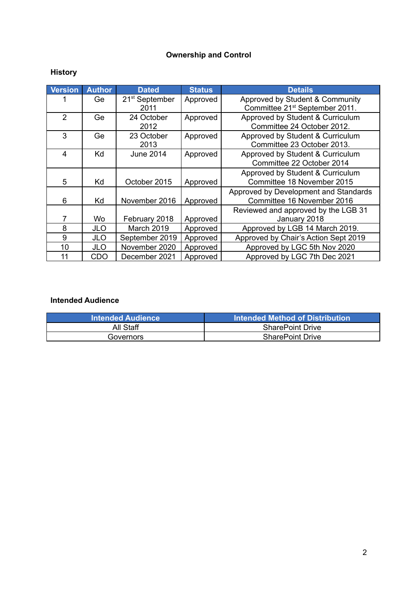# **Ownership and Control**

# **History**

| <b>Version</b> | <b>Author</b> | <b>Dated</b>                       | <b>Status</b> | <b>Details</b>                                                                |
|----------------|---------------|------------------------------------|---------------|-------------------------------------------------------------------------------|
|                | Ge            | 21 <sup>st</sup> September<br>2011 | Approved      | Approved by Student & Community<br>Committee 21 <sup>st</sup> September 2011. |
| $\mathcal{P}$  | Ge            | 24 October<br>2012                 | Approved      | Approved by Student & Curriculum<br>Committee 24 October 2012.                |
| 3              | Ge            | 23 October<br>2013                 | Approved      | Approved by Student & Curriculum<br>Committee 23 October 2013.                |
| 4              | Κd            | June 2014                          | Approved      | Approved by Student & Curriculum<br>Committee 22 October 2014                 |
| 5              | Κd            | October 2015                       | Approved      | Approved by Student & Curriculum<br>Committee 18 November 2015                |
| 6              | Kd            | November 2016                      | Approved      | Approved by Development and Standards<br>Committee 16 November 2016           |
| 7              | Wo            | February 2018                      | Approved      | Reviewed and approved by the LGB 31<br>January 2018                           |
| 8              | JLO           | March 2019                         | Approved      | Approved by LGB 14 March 2019.                                                |
| 9              | JLO           | September 2019                     | Approved      | Approved by Chair's Action Sept 2019                                          |
| 10             | <b>JLO</b>    | November 2020                      | Approved      | Approved by LGC 5th Nov 2020                                                  |
| 11             | CDO           | December 2021                      | Approved      | Approved by LGC 7th Dec 2021                                                  |

# **Intended Audience**

| <b>Intended Audience</b> | l Intended Method of Distribution <b>\</b> |
|--------------------------|--------------------------------------------|
| All Staff                | <b>SharePoint Drive</b>                    |
| Governors                | <b>SharePoint Drive</b>                    |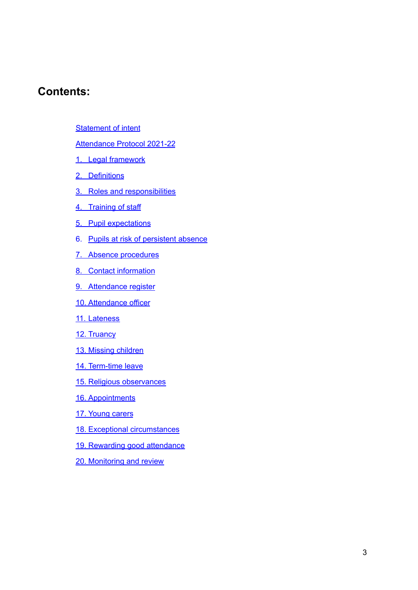# **Contents:**

**[Statement](#page-3-0) of intent** 

Attendance Protocol 2021-2[2](#page-3-0)

- 1. Legal [framework](#page-5-0)
- 2. [Definitions](#page-6-0)
- 3. Roles and responsibilities
- 4. [Training](#page-8-0) of staff
- 5. Pupil [expectations](#page-8-1)
- 6. Pupils at risk of persistent absence
- 7. Absence [procedures](#page-9-0)
- 8. Contact information
- 9. [Attendance](#page-10-0) register
- 10. [Attendance](#page-11-0) officer
- 11. [Lateness](#page-12-0)
- 12. [Truancy](#page-12-1)
- 13. Missing [children](#page-13-0)
- 14. [Term-time](#page-14-0) leave
- 15. Religious [observances](#page-14-1)
- 16. [Appointments](#page-15-0)
- 17. [Young](#page-15-1) carers
- 18. Exceptional [circumstances](#page-15-2)
- 19. Rewarding good [attendance](#page-15-3)
- 20. [Monitoring](#page-16-0) and review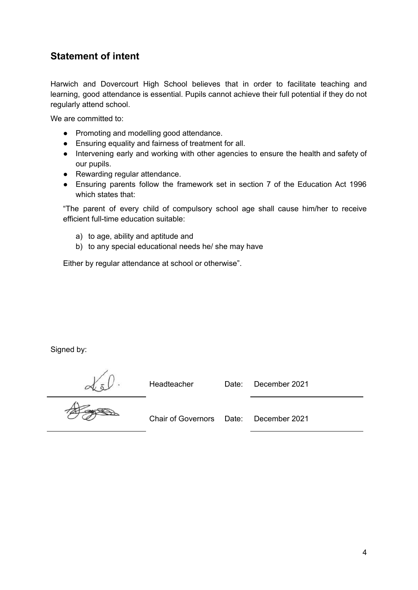# <span id="page-3-0"></span>**Statement of intent**

Harwich and Dovercourt High School believes that in order to facilitate teaching and learning, good attendance is essential. Pupils cannot achieve their full potential if they do not regularly attend school.

We are committed to:

- Promoting and modelling good attendance.
- Ensuring equality and fairness of treatment for all.
- Intervening early and working with other agencies to ensure the health and safety of our pupils.
- Rewarding regular attendance.
- Ensuring parents follow the framework set in section 7 of the Education Act 1996 which states that:

"The parent of every child of compulsory school age shall cause him/her to receive efficient full-time education suitable:

- a) to age, ability and aptitude and
- b) to any special educational needs he/ she may have

Either by regular attendance at school or otherwise".

Signed by:

Headteacher Date: December 2021

 $\frac{d}{d}$ 

Chair of Governors Date: December 2021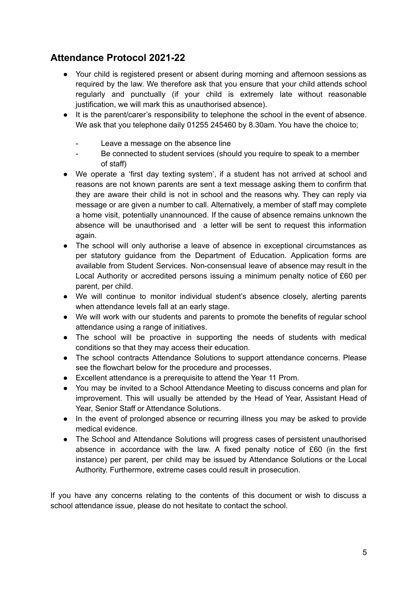# **Attendance Protocol 2021-22**

- Your child is registered present or absent during morning and afternoon sessions as required by the law. We therefore ask that you ensure that your child attends school regularly and punctually (if your child is extremely late without reasonable justification, we will mark this as unauthorised absence).
- It is the parent/carer's responsibility to telephone the school in the event of absence. We ask that you telephone daily 01255 245460 by 8.30am. You have the choice to;
	- Leave a message on the absence line
	- Be connected to student services (should you require to speak to a member of staff)
- We operate a 'first day texting system', if a student has not arrived at school and reasons are not known parents are sent a text message asking them to confirm that they are aware their child is not in school and the reasons why. They can reply via message or are given a number to call. Alternatively, a member of staff may complete a home visit, potentially unannounced. If the cause of absence remains unknown the absence will be unauthorised and a letter will be sent to request this information again.
- The school will only authorise a leave of absence in exceptional circumstances as per statutory guidance from the Department of Education. Application forms are available from Student Services. Non-consensual leave of absence may result in the Local Authority or accredited persons issuing a minimum penalty notice of £60 per parent, per child.
- We will continue to monitor individual student's absence closely, alerting parents when attendance levels fall at an early stage.
- We will work with our students and parents to promote the benefits of regular school attendance using a range of initiatives.
- The school will be proactive in supporting the needs of students with medical conditions so that they may access their education.
- The school contracts Attendance Solutions to support attendance concerns. Please see the flowchart below for the procedure and processes.
- Excellent attendance is a prerequisite to attend the Year 11 Prom.
- You may be invited to a School Attendance Meeting to discuss concerns and plan for improvement. This will usually be attended by the Head of Year, Assistant Head of Year, Senior Staff or Attendance Solutions.
- In the event of prolonged absence or recurring illness you may be asked to provide medical evidence.
- The School and Attendance Solutions will progress cases of persistent unauthorised absence in accordance with the law. A fixed penalty notice of £60 (in the first instance) per parent, per child may be issued by Attendance Solutions or the Local Authority. Furthermore, extreme cases could result in prosecution.

If you have any concerns relating to the contents of this document or wish to discuss a school attendance issue, please do not hesitate to contact the school.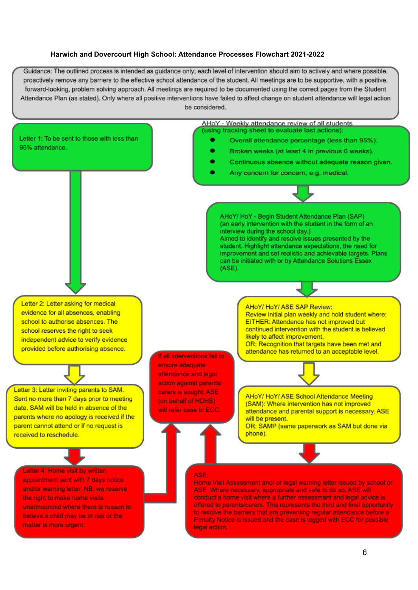#### <span id="page-5-0"></span>**Harwich and Dovercourt High School: Attendance Processes Flowchart 2021-2022**

Guidance: The outlined process is intended as guidance only; each level of intervention should aim to actively and where possible, proactively remove any barriers to the effective school attendance of the student. All meetings are to be supportive, with a positive, forward-looking, problem solving approach. All meetings are required to be documented using the correct pages from the Student Attendance Plan (as stated). Only where all positive interventions have failed to affect change on student attendance will legal action be considered.

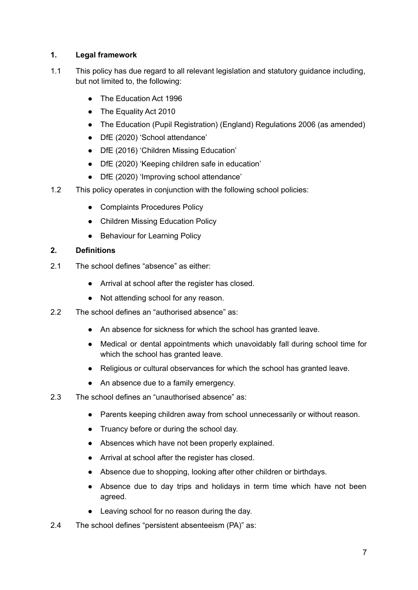## **1. Legal framework**

- 1.1 This policy has due regard to all relevant legislation and statutory guidance including, but not limited to, the following:
	- The Education Act 1996
	- The Equality Act 2010
	- The Education (Pupil Registration) (England) Regulations 2006 (as amended)
	- DfE (2020) 'School attendance'
	- DfE (2016) 'Children Missing Education'
	- DfE (2020) 'Keeping children safe in education'
	- DfE (2020) 'Improving school attendance'
- 1.2 This policy operates in conjunction with the following school policies:
	- Complaints Procedures Policy
	- Children Missing Education Policy
	- Behaviour for Learning Policy

### <span id="page-6-0"></span>**2. Definitions**

- 2.1 The school defines "absence" as either:
	- Arrival at school after the register has closed.
	- Not attending school for any reason.
- 2.2 The school defines an "authorised absence" as:
	- An absence for sickness for which the school has granted leave.
	- Medical or dental appointments which unavoidably fall during school time for which the school has granted leave.
	- Religious or cultural observances for which the school has granted leave.
	- An absence due to a family emergency.
- 2.3 The school defines an "unauthorised absence" as:
	- Parents keeping children away from school unnecessarily or without reason.
	- Truancy before or during the school day.
	- Absences which have not been properly explained.
	- Arrival at school after the register has closed.
	- Absence due to shopping, looking after other children or birthdays.
	- Absence due to day trips and holidays in term time which have not been agreed.
	- Leaving school for no reason during the day.
- 2.4 The school defines "persistent absenteeism (PA)" as: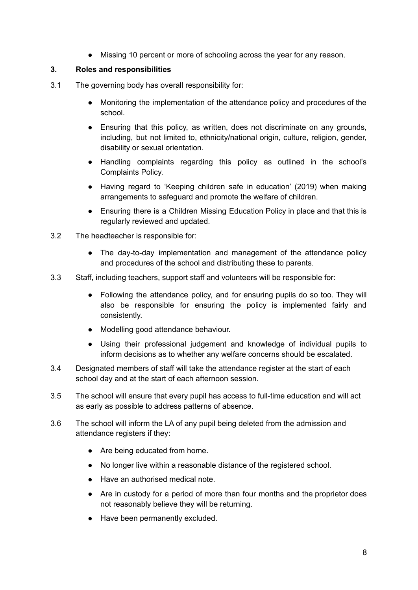● Missing 10 percent or more of schooling across the year for any reason.

#### **3. Roles and responsibilities**

- 3.1 The governing body has overall responsibility for:
	- Monitoring the implementation of the attendance policy and procedures of the school.
	- Ensuring that this policy, as written, does not discriminate on any grounds, including, but not limited to, ethnicity/national origin, culture, religion, gender, disability or sexual orientation.
	- Handling complaints regarding this policy as outlined in the school's Complaints Policy.
	- Having regard to 'Keeping children safe in education' (2019) when making arrangements to safeguard and promote the welfare of children.
	- Ensuring there is a Children Missing Education Policy in place and that this is regularly reviewed and updated.
- 3.2 The headteacher is responsible for:
	- The day-to-day implementation and management of the attendance policy and procedures of the school and distributing these to parents.
- 3.3 Staff, including teachers, support staff and volunteers will be responsible for:
	- Following the attendance policy, and for ensuring pupils do so too. They will also be responsible for ensuring the policy is implemented fairly and consistently.
	- Modelling good attendance behaviour.
	- Using their professional judgement and knowledge of individual pupils to inform decisions as to whether any welfare concerns should be escalated.
- 3.4 Designated members of staff will take the attendance register at the start of each school day and at the start of each afternoon session.
- 3.5 The school will ensure that every pupil has access to full-time education and will act as early as possible to address patterns of absence.
- 3.6 The school will inform the LA of any pupil being deleted from the admission and attendance registers if they:
	- Are being educated from home.
	- No longer live within a reasonable distance of the registered school.
	- Have an authorised medical note.
	- Are in custody for a period of more than four months and the proprietor does not reasonably believe they will be returning.
	- Have been permanently excluded.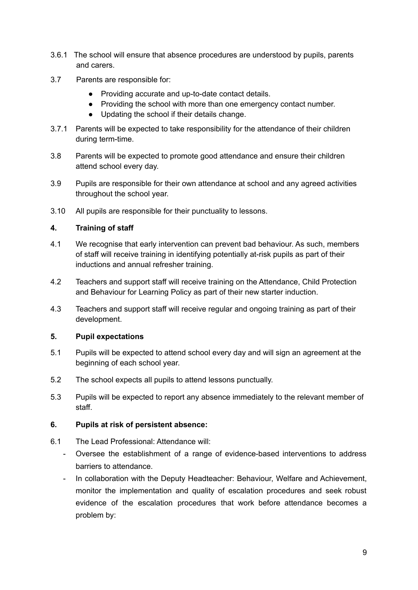- 3.6.1 The school will ensure that absence procedures are understood by pupils, parents and carers.
- 3.7 Parents are responsible for:
	- Providing accurate and up-to-date contact details.
	- Providing the school with more than one emergency contact number.
	- Updating the school if their details change.
- 3.7.1 Parents will be expected to take responsibility for the attendance of their children during term-time.
- 3.8 Parents will be expected to promote good attendance and ensure their children attend school every day.
- 3.9 Pupils are responsible for their own attendance at school and any agreed activities throughout the school year.
- 3.10 All pupils are responsible for their punctuality to lessons.

#### <span id="page-8-0"></span>**4. Training of staff**

- 4.1 We recognise that early intervention can prevent bad behaviour. As such, members of staff will receive training in identifying potentially at-risk pupils as part of their inductions and annual refresher training.
- 4.2 Teachers and support staff will receive training on the Attendance, Child Protection and Behaviour for Learning Policy as part of their new starter induction.
- 4.3 Teachers and support staff will receive regular and ongoing training as part of their development.

### <span id="page-8-1"></span>**5. Pupil expectations**

- 5.1 Pupils will be expected to attend school every day and will sign an agreement at the beginning of each school year.
- 5.2 The school expects all pupils to attend lessons punctually.
- 5.3 Pupils will be expected to report any absence immediately to the relevant member of staff.

#### **6. Pupils at risk of persistent absence:**

- 6.1 The Lead Professional: Attendance will:
	- Oversee the establishment of a range of evidence-based interventions to address barriers to attendance.
	- In collaboration with the Deputy Headteacher: Behaviour, Welfare and Achievement, monitor the implementation and quality of escalation procedures and seek robust evidence of the escalation procedures that work before attendance becomes a problem by: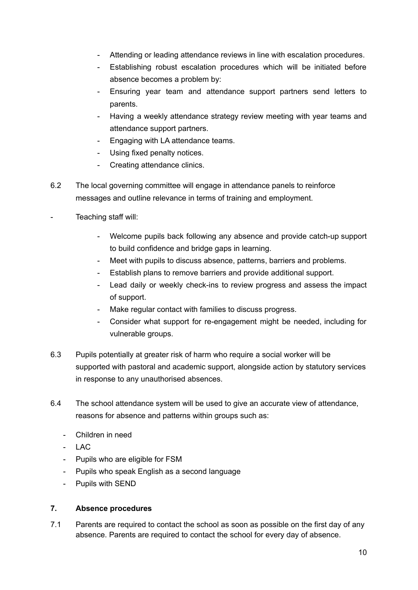- Attending or leading attendance reviews in line with escalation procedures.
- Establishing robust escalation procedures which will be initiated before absence becomes a problem by:
- Ensuring year team and attendance support partners send letters to parents.
- Having a weekly attendance strategy review meeting with year teams and attendance support partners.
- Engaging with LA attendance teams.
- Using fixed penalty notices.
- Creating attendance clinics.
- 6.2 The local governing committee will engage in attendance panels to reinforce messages and outline relevance in terms of training and employment.
- Teaching staff will:
	- Welcome pupils back following any absence and provide catch-up support to build confidence and bridge gaps in learning.
	- Meet with pupils to discuss absence, patterns, barriers and problems.
	- Establish plans to remove barriers and provide additional support.
	- Lead daily or weekly check-ins to review progress and assess the impact of support.
	- Make regular contact with families to discuss progress.
	- Consider what support for re-engagement might be needed, including for vulnerable groups.
- 6.3 Pupils potentially at greater risk of harm who require a social worker will be supported with pastoral and academic support, alongside action by statutory services in response to any unauthorised absences.
- 6.4 The school attendance system will be used to give an accurate view of attendance, reasons for absence and patterns within groups such as:
	- Children in need
	- LAC
	- Pupils who are eligible for FSM
	- Pupils who speak English as a second language
	- Pupils with SEND

### <span id="page-9-0"></span>**7. Absence procedures**

7.1 Parents are required to contact the school as soon as possible on the first day of any absence. Parents are required to contact the school for every day of absence.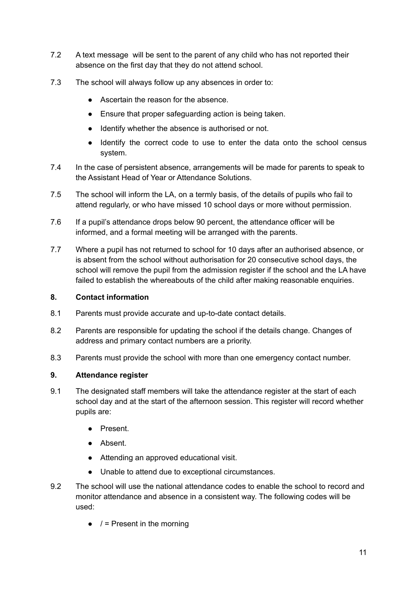- 7.2 A text message will be sent to the parent of any child who has not reported their absence on the first day that they do not attend school.
- 7.3 The school will always follow up any absences in order to:
	- Ascertain the reason for the absence.
	- Ensure that proper safeguarding action is being taken.
	- Identify whether the absence is authorised or not.
	- Identify the correct code to use to enter the data onto the school census system.
- 7.4 In the case of persistent absence, arrangements will be made for parents to speak to the Assistant Head of Year or Attendance Solutions.
- 7.5 The school will inform the LA, on a termly basis, of the details of pupils who fail to attend regularly, or who have missed 10 school days or more without permission.
- 7.6 If a pupil's attendance drops below 90 percent, the attendance officer will be informed, and a formal meeting will be arranged with the parents.
- 7.7 Where a pupil has not returned to school for 10 days after an authorised absence, or is absent from the school without authorisation for 20 consecutive school days, the school will remove the pupil from the admission register if the school and the LA have failed to establish the whereabouts of the child after making reasonable enquiries.

### **8. Contact information**

- 8.1 Parents must provide accurate and up-to-date contact details.
- 8.2 Parents are responsible for updating the school if the details change. Changes of address and primary contact numbers are a priority.
- 8.3 Parents must provide the school with more than one emergency contact number.

### <span id="page-10-0"></span>**9. Attendance register**

- 9.1 The designated staff members will take the attendance register at the start of each school day and at the start of the afternoon session. This register will record whether pupils are:
	- Present.
	- Absent.
	- Attending an approved educational visit.
	- Unable to attend due to exceptional circumstances.
- 9.2 The school will use the national attendance codes to enable the school to record and monitor attendance and absence in a consistent way. The following codes will be used:
	- $\bullet$  / = Present in the morning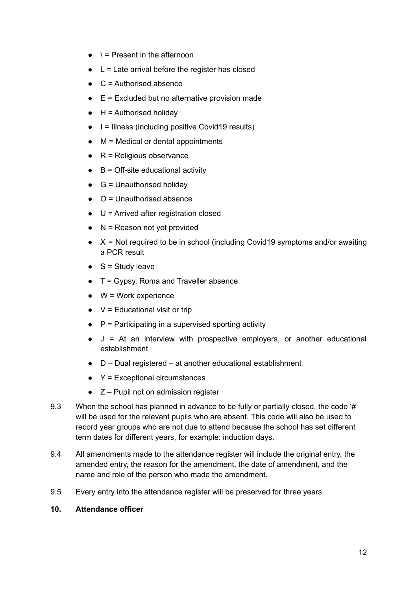- $\bullet \quad \dagger$  = Present in the afternoon
- $\bullet$  L = Late arrival before the register has closed
- $\bullet$  C = Authorised absence
- $\bullet$  E = Excluded but no alternative provision made
- $\bullet$  H = Authorised holiday
- $\bullet$   $\parallel$  = Illness (including positive Covid19 results)
- $\bullet$  M = Medical or dental appointments
- $\bullet$  R = Religious observance
- $\bullet$  B = Off-site educational activity
- $\bullet$  G = Unauthorised holidav
- $\bullet$  O = Unauthorised absence
- $\bullet$  U = Arrived after registration closed
- $\bullet$  N = Reason not yet provided
- $\bullet$   $X =$  Not required to be in school (including Covid19 symptoms and/or awaiting a PCR result
- $\bullet$  S = Study leave
- $\bullet$  T = Gypsy, Roma and Traveller absence
- $\bullet$  W = Work experience
- $\bullet$  V = Educational visit or trip
- $\bullet$  P = Participating in a supervised sporting activity
- $\bullet$  J = At an interview with prospective employers, or another educational establishment
- D Dual registered at another educational establishment
- $\bullet$  Y = Exceptional circumstances
- $\bullet$   $Z$  Pupil not on admission register
- 9.3 When the school has planned in advance to be fully or partially closed, the code '#' will be used for the relevant pupils who are absent. This code will also be used to record year groups who are not due to attend because the school has set different term dates for different years, for example: induction days.
- 9.4 All amendments made to the attendance register will include the original entry, the amended entry, the reason for the amendment, the date of amendment, and the name and role of the person who made the amendment.
- 9.5 Every entry into the attendance register will be preserved for three years.

#### <span id="page-11-0"></span>**10. Attendance officer**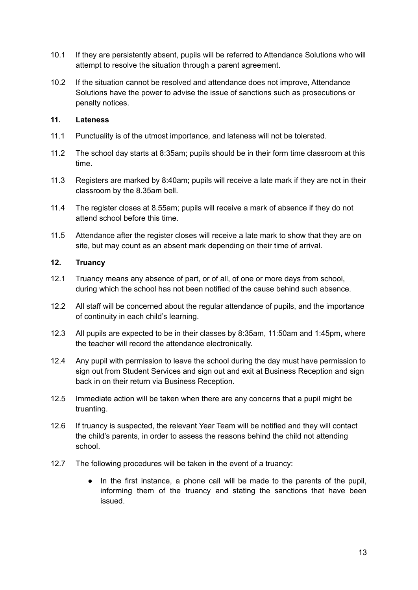- 10.1 If they are persistently absent, pupils will be referred to Attendance Solutions who will attempt to resolve the situation through a parent agreement.
- 10.2 If the situation cannot be resolved and attendance does not improve, Attendance Solutions have the power to advise the issue of sanctions such as prosecutions or penalty notices.

## <span id="page-12-0"></span>**11. Lateness**

- 11.1 Punctuality is of the utmost importance, and lateness will not be tolerated.
- 11.2 The school day starts at 8:35am; pupils should be in their form time classroom at this time.
- 11.3 Registers are marked by 8:40am; pupils will receive a late mark if they are not in their classroom by the 8.35am bell.
- 11.4 The register closes at 8.55am; pupils will receive a mark of absence if they do not attend school before this time.
- 11.5 Attendance after the register closes will receive a late mark to show that they are on site, but may count as an absent mark depending on their time of arrival.

#### <span id="page-12-1"></span>**12. Truancy**

- 12.1 Truancy means any absence of part, or of all, of one or more days from school, during which the school has not been notified of the cause behind such absence.
- 12.2 All staff will be concerned about the regular attendance of pupils, and the importance of continuity in each child's learning.
- 12.3 All pupils are expected to be in their classes by 8:35am, 11:50am and 1:45pm, where the teacher will record the attendance electronically.
- 12.4 Any pupil with permission to leave the school during the day must have permission to sign out from Student Services and sign out and exit at Business Reception and sign back in on their return via Business Reception.
- 12.5 Immediate action will be taken when there are any concerns that a pupil might be truanting.
- 12.6 If truancy is suspected, the relevant Year Team will be notified and they will contact the child's parents, in order to assess the reasons behind the child not attending school.
- 12.7 The following procedures will be taken in the event of a truancy:
	- In the first instance, a phone call will be made to the parents of the pupil, informing them of the truancy and stating the sanctions that have been issued.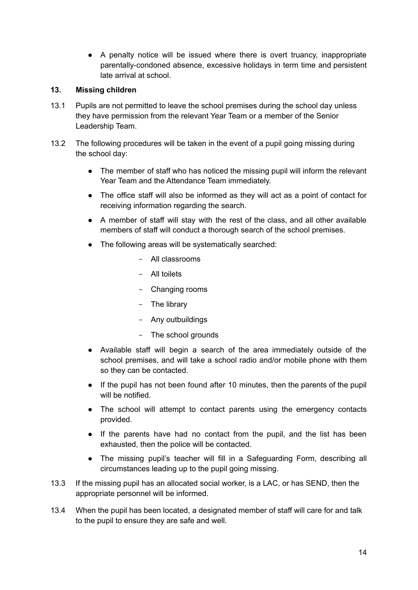● A penalty notice will be issued where there is overt truancy, inappropriate parentally-condoned absence, excessive holidays in term time and persistent late arrival at school.

#### <span id="page-13-0"></span>**13. Missing children**

- 13.1 Pupils are not permitted to leave the school premises during the school day unless they have permission from the relevant Year Team or a member of the Senior Leadership Team.
- 13.2 The following procedures will be taken in the event of a pupil going missing during the school day:
	- The member of staff who has noticed the missing pupil will inform the relevant Year Team and the Attendance Team immediately.
	- The office staff will also be informed as they will act as a point of contact for receiving information regarding the search.
	- A member of staff will stay with the rest of the class, and all other available members of staff will conduct a thorough search of the school premises.
	- The following areas will be systematically searched:
		- All classrooms
		- All toilets
		- Changing rooms
		- The library
		- Any outbuildings
		- The school grounds
	- Available staff will begin a search of the area immediately outside of the school premises, and will take a school radio and/or mobile phone with them so they can be contacted.
	- If the pupil has not been found after 10 minutes, then the parents of the pupil will be notified.
	- The school will attempt to contact parents using the emergency contacts provided.
	- If the parents have had no contact from the pupil, and the list has been exhausted, then the police will be contacted.
	- The missing pupil's teacher will fill in a Safeguarding Form, describing all circumstances leading up to the pupil going missing.
- 13.3 If the missing pupil has an allocated social worker, is a LAC, or has SEND, then the appropriate personnel will be informed.
- 13.4 When the pupil has been located, a designated member of staff will care for and talk to the pupil to ensure they are safe and well.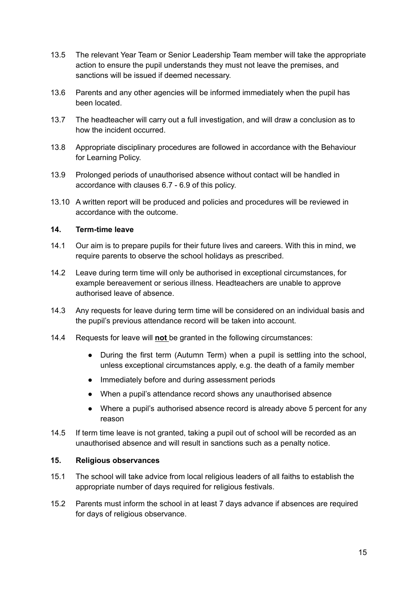- 13.5 The relevant Year Team or Senior Leadership Team member will take the appropriate action to ensure the pupil understands they must not leave the premises, and sanctions will be issued if deemed necessary.
- 13.6 Parents and any other agencies will be informed immediately when the pupil has been located.
- 13.7 The headteacher will carry out a full investigation, and will draw a conclusion as to how the incident occurred.
- 13.8 Appropriate disciplinary procedures are followed in accordance with the Behaviour for Learning Policy.
- 13.9 Prolonged periods of unauthorised absence without contact will be handled in accordance with clauses 6.7 - 6.9 of this policy.
- 13.10 A written report will be produced and policies and procedures will be reviewed in accordance with the outcome.

#### <span id="page-14-0"></span>**14. Term-time leave**

- 14.1 Our aim is to prepare pupils for their future lives and careers. With this in mind, we require parents to observe the school holidays as prescribed.
- 14.2 Leave during term time will only be authorised in exceptional circumstances, for example bereavement or serious illness. Headteachers are unable to approve authorised leave of absence.
- 14.3 Any requests for leave during term time will be considered on an individual basis and the pupil's previous attendance record will be taken into account.
- 14.4 Requests for leave will **not** be granted in the following circumstances:
	- During the first term (Autumn Term) when a pupil is settling into the school, unless exceptional circumstances apply, e.g. the death of a family member
	- Immediately before and during assessment periods
	- When a pupil's attendance record shows any unauthorised absence
	- Where a pupil's authorised absence record is already above 5 percent for any reason
- 14.5 If term time leave is not granted, taking a pupil out of school will be recorded as an unauthorised absence and will result in sanctions such as a penalty notice.

#### <span id="page-14-1"></span>**15. Religious observances**

- 15.1 The school will take advice from local religious leaders of all faiths to establish the appropriate number of days required for religious festivals.
- 15.2 Parents must inform the school in at least 7 days advance if absences are required for days of religious observance.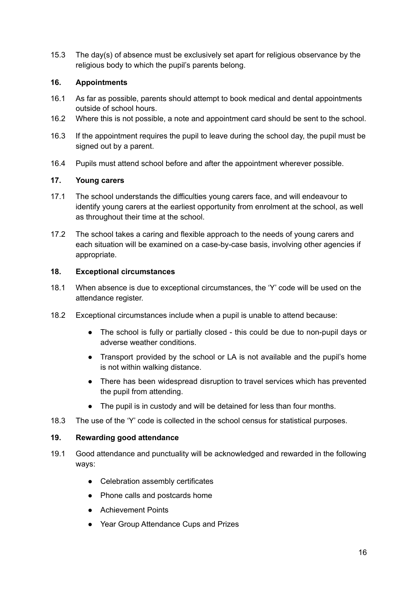15.3 The day(s) of absence must be exclusively set apart for religious observance by the religious body to which the pupil's parents belong.

#### <span id="page-15-0"></span>**16. Appointments**

- 16.1 As far as possible, parents should attempt to book medical and dental appointments outside of school hours.
- 16.2 Where this is not possible, a note and appointment card should be sent to the school.
- 16.3 If the appointment requires the pupil to leave during the school day, the pupil must be signed out by a parent.
- 16.4 Pupils must attend school before and after the appointment wherever possible.

## <span id="page-15-1"></span>**17. Young carers**

- 17.1 The school understands the difficulties young carers face, and will endeavour to identify young carers at the earliest opportunity from enrolment at the school, as well as throughout their time at the school.
- 17.2 The school takes a caring and flexible approach to the needs of young carers and each situation will be examined on a case-by-case basis, involving other agencies if appropriate.

#### <span id="page-15-2"></span>**18. Exceptional circumstances**

- 18.1 When absence is due to exceptional circumstances, the 'Y' code will be used on the attendance register.
- 18.2 Exceptional circumstances include when a pupil is unable to attend because:
	- The school is fully or partially closed this could be due to non-pupil days or adverse weather conditions.
	- Transport provided by the school or LA is not available and the pupil's home is not within walking distance.
	- There has been widespread disruption to travel services which has prevented the pupil from attending.
	- The pupil is in custody and will be detained for less than four months.
- 18.3 The use of the 'Y' code is collected in the school census for statistical purposes.

#### <span id="page-15-3"></span>**19. Rewarding good attendance**

- 19.1 Good attendance and punctuality will be acknowledged and rewarded in the following ways:
	- Celebration assembly certificates
	- Phone calls and postcards home
	- Achievement Points
	- Year Group Attendance Cups and Prizes